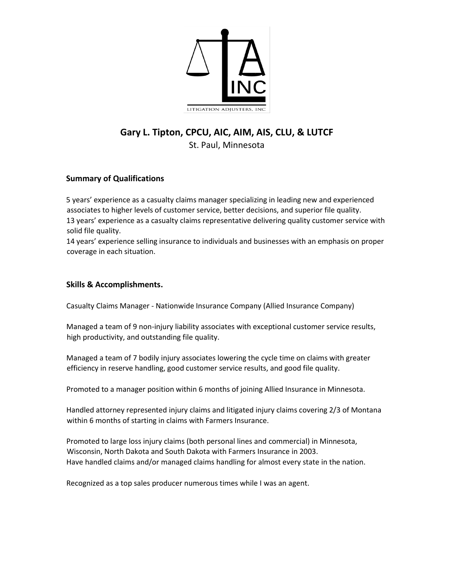

# **Gary L. Tipton, CPCU, AIC, AIM, AIS, CLU, & LUTCF** St. Paul, Minnesota

## **Summary of Qualifications**

5 years' experience as a casualty claims manager specializing in leading new and experienced associates to higher levels of customer service, better decisions, and superior file quality. 13 years' experience as a casualty claims representative delivering quality customer service with solid file quality.

14 years' experience selling insurance to individuals and businesses with an emphasis on proper coverage in each situation.

#### **Skills & Accomplishments.**

Casualty Claims Manager - Nationwide Insurance Company (Allied Insurance Company)

Managed a team of 9 non-injury liability associates with exceptional customer service results, high productivity, and outstanding file quality.

Managed a team of 7 bodily injury associates lowering the cycle time on claims with greater efficiency in reserve handling, good customer service results, and good file quality.

Promoted to a manager position within 6 months of joining Allied Insurance in Minnesota.

Handled attorney represented injury claims and litigated injury claims covering 2/3 of Montana within 6 months of starting in claims with Farmers Insurance.

Promoted to large loss injury claims (both personal lines and commercial) in Minnesota, Wisconsin, North Dakota and South Dakota with Farmers Insurance in 2003. Have handled claims and/or managed claims handling for almost every state in the nation.

Recognized as a top sales producer numerous times while I was an agent.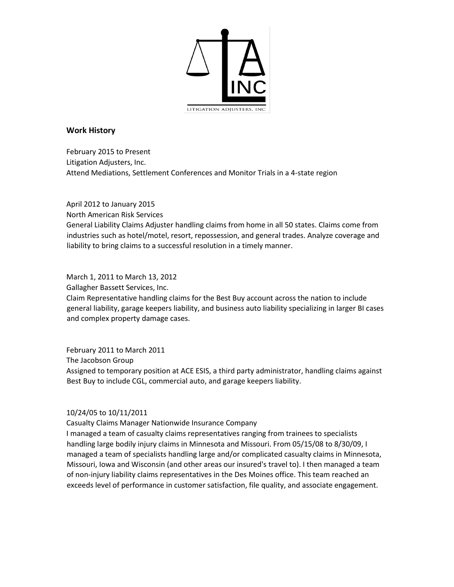

## **Work History**

February 2015 to Present Litigation Adjusters, Inc. Attend Mediations, Settlement Conferences and Monitor Trials in a 4-state region

April 2012 to January 2015 North American Risk Services General Liability Claims Adjuster handling claims from home in all 50 states. Claims come from industries such as hotel/motel, resort, repossession, and general trades. Analyze coverage and liability to bring claims to a successful resolution in a timely manner.

March 1, 2011 to March 13, 2012

Gallagher Bassett Services, Inc.

Claim Representative handling claims for the Best Buy account across the nation to include general liability, garage keepers liability, and business auto liability specializing in larger BI cases and complex property damage cases.

February 2011 to March 2011 The Jacobson Group Assigned to temporary position at ACE ESIS, a third party administrator, handling claims against Best Buy to include CGL, commercial auto, and garage keepers liability.

#### 10/24/05 to 10/11/2011

Casualty Claims Manager Nationwide Insurance Company

I managed a team of casualty claims representatives ranging from trainees to specialists handling large bodily injury claims in Minnesota and Missouri. From 05/15/08 to 8/30/09, I managed a team of specialists handling large and/or complicated casualty claims in Minnesota, Missouri, Iowa and Wisconsin (and other areas our insured's travel to). I then managed a team of non-injury liability claims representatives in the Des Moines office. This team reached an exceeds level of performance in customer satisfaction, file quality, and associate engagement.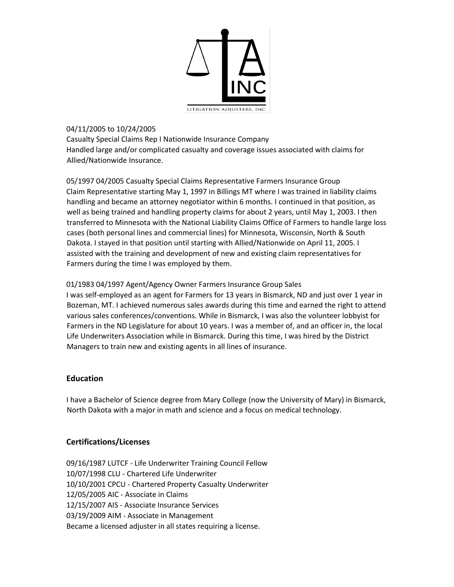

#### 04/11/2005 to 10/24/2005

Casualty Special Claims Rep I Nationwide Insurance Company Handled large and/or complicated casualty and coverage issues associated with claims for Allied/Nationwide Insurance.

05/1997 04/2005 Casualty Special Claims Representative Farmers Insurance Group Claim Representative starting May 1, 1997 in Billings MT where I was trained in liability claims handling and became an attorney negotiator within 6 months. I continued in that position, as well as being trained and handling property claims for about 2 years, until May 1, 2003. I then transferred to Minnesota with the National Liability Claims Office of Farmers to handle large loss cases (both personal lines and commercial lines) for Minnesota, Wisconsin, North & South Dakota. I stayed in that position until starting with Allied/Nationwide on April 11, 2005. I assisted with the training and development of new and existing claim representatives for Farmers during the time I was employed by them.

## 01/1983 04/1997 Agent/Agency Owner Farmers Insurance Group Sales

I was self-employed as an agent for Farmers for 13 years in Bismarck, ND and just over 1 year in Bozeman, MT. I achieved numerous sales awards during this time and earned the right to attend various sales conferences/conventions. While in Bismarck, I was also the volunteer lobbyist for Farmers in the ND Legislature for about 10 years. I was a member of, and an officer in, the local Life Underwriters Association while in Bismarck. During this time, I was hired by the District Managers to train new and existing agents in all lines of insurance.

# **Education**

I have a Bachelor of Science degree from Mary College (now the University of Mary) in Bismarck, North Dakota with a major in math and science and a focus on medical technology.

# **Certifications/Licenses**

09/16/1987 LUTCF - Life Underwriter Training Council Fellow 10/07/1998 CLU - Chartered Life Underwriter 10/10/2001 CPCU - Chartered Property Casualty Underwriter 12/05/2005 AIC - Associate in Claims 12/15/2007 AIS - Associate Insurance Services 03/19/2009 AIM - Associate in Management Became a licensed adjuster in all states requiring a license.